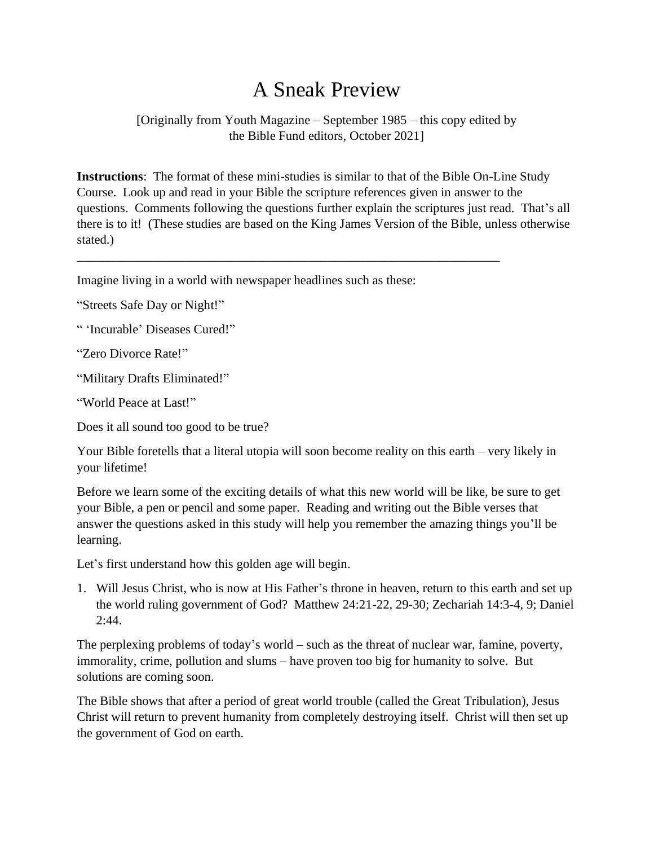## A Sneak Preview

[Originally from Youth Magazine – September 1985 – this copy edited by the Bible Fund editors, October 2021]

**Instructions**: The format of these mini-studies is similar to that of the Bible On-Line Study Course. Look up and read in your Bible the scripture references given in answer to the questions. Comments following the questions further explain the scriptures just read. That's all there is to it! (These studies are based on the King James Version of the Bible, unless otherwise stated.)

\_\_\_\_\_\_\_\_\_\_\_\_\_\_\_\_\_\_\_\_\_\_\_\_\_\_\_\_\_\_\_\_\_\_\_\_\_\_\_\_\_\_\_\_\_\_\_\_\_\_\_\_\_\_\_\_\_\_\_\_\_\_\_\_\_\_

Imagine living in a world with newspaper headlines such as these:

"Streets Safe Day or Night!"

" 'Incurable' Diseases Cured!"

"Zero Divorce Rate!"

"Military Drafts Eliminated!"

"World Peace at Last!"

Does it all sound too good to be true?

Your Bible foretells that a literal utopia will soon become reality on this earth – very likely in your lifetime!

Before we learn some of the exciting details of what this new world will be like, be sure to get your Bible, a pen or pencil and some paper. Reading and writing out the Bible verses that answer the questions asked in this study will help you remember the amazing things you'll be learning.

Let's first understand how this golden age will begin.

1. Will Jesus Christ, who is now at His Father's throne in heaven, return to this earth and set up the world ruling government of God? Matthew 24:21-22, 29-30; Zechariah 14:3-4, 9; Daniel 2:44.

The perplexing problems of today's world – such as the threat of nuclear war, famine, poverty, immorality, crime, pollution and slums – have proven too big for humanity to solve. But solutions are coming soon.

The Bible shows that after a period of great world trouble (called the Great Tribulation), Jesus Christ will return to prevent humanity from completely destroying itself. Christ will then set up the government of God on earth.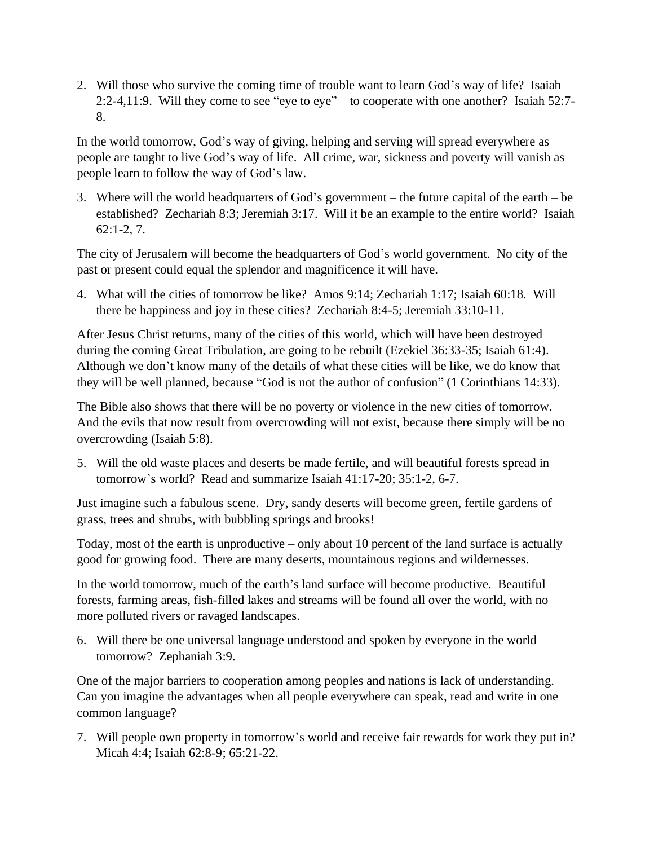2. Will those who survive the coming time of trouble want to learn God's way of life? Isaiah 2:2-4,11:9. Will they come to see "eye to eye" – to cooperate with one another? Isaiah 52:7- 8.

In the world tomorrow, God's way of giving, helping and serving will spread everywhere as people are taught to live God's way of life. All crime, war, sickness and poverty will vanish as people learn to follow the way of God's law.

3. Where will the world headquarters of God's government – the future capital of the earth – be established? Zechariah 8:3; Jeremiah 3:17. Will it be an example to the entire world? Isaiah 62:1-2, 7.

The city of Jerusalem will become the headquarters of God's world government. No city of the past or present could equal the splendor and magnificence it will have.

4. What will the cities of tomorrow be like? Amos 9:14; Zechariah 1:17; Isaiah 60:18. Will there be happiness and joy in these cities? Zechariah 8:4-5; Jeremiah 33:10-11.

After Jesus Christ returns, many of the cities of this world, which will have been destroyed during the coming Great Tribulation, are going to be rebuilt (Ezekiel 36:33-35; Isaiah 61:4). Although we don't know many of the details of what these cities will be like, we do know that they will be well planned, because "God is not the author of confusion" (1 Corinthians 14:33).

The Bible also shows that there will be no poverty or violence in the new cities of tomorrow. And the evils that now result from overcrowding will not exist, because there simply will be no overcrowding (Isaiah 5:8).

5. Will the old waste places and deserts be made fertile, and will beautiful forests spread in tomorrow's world? Read and summarize Isaiah 41:17-20; 35:1-2, 6-7.

Just imagine such a fabulous scene. Dry, sandy deserts will become green, fertile gardens of grass, trees and shrubs, with bubbling springs and brooks!

Today, most of the earth is unproductive – only about 10 percent of the land surface is actually good for growing food. There are many deserts, mountainous regions and wildernesses.

In the world tomorrow, much of the earth's land surface will become productive. Beautiful forests, farming areas, fish-filled lakes and streams will be found all over the world, with no more polluted rivers or ravaged landscapes.

6. Will there be one universal language understood and spoken by everyone in the world tomorrow? Zephaniah 3:9.

One of the major barriers to cooperation among peoples and nations is lack of understanding. Can you imagine the advantages when all people everywhere can speak, read and write in one common language?

7. Will people own property in tomorrow's world and receive fair rewards for work they put in? Micah 4:4; Isaiah 62:8-9; 65:21-22.